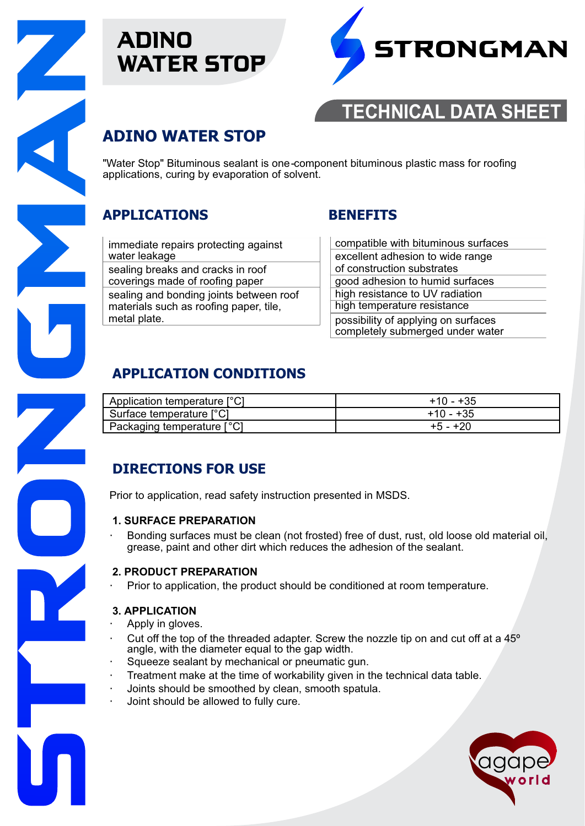

# ADINO WATER STOP



# **TECHNICAL DATA SHEET**

# **ADINO WATER STOP**

"Water Stop" Bituminous sealant is one-component bituminous plastic mass for roofing applications, curing by evaporation of solvent.

## **APPLICATIONS BENEFITS**

immediate repairs protecting against water leakage sealing breaks and cracks in roof coverings made of roofing paper sealing and bonding joints between roof materials such as roofing paper, tile, metal plate.

| compatible with bituminous surfaces                                     |
|-------------------------------------------------------------------------|
| excellent adhesion to wide range                                        |
| of construction substrates                                              |
| good adhesion to humid surfaces                                         |
| high resistance to UV radiation                                         |
| high temperature resistance                                             |
| possibility of applying on surfaces<br>completely submerged under water |

# **APPLICATION CONDITIONS**

| Application temperature [°C] | $+10 - +35$ |
|------------------------------|-------------|
| Surface temperature [°C]     | $+10 - +35$ |
| Packaging temperature [°C]   | $+5 - +20$  |

# **DIRECTIONS FOR USE**

Prior to application, read safety instruction presented in MSDS.

### **1. SURFACE PREPARATION**

Bonding surfaces must be clean (not frosted) free of dust, rust, old loose old material oil, grease, paint and other dirt which reduces the adhesion of the sealant.

### **2. PRODUCT PREPARATION**

Prior to application, the product should be conditioned at room temperature.

### **3. APPLICATION**

- Apply in gloves.
- Cut off the top of the threaded adapter. Screw the nozzle tip on and cut off at a 45º angle, with the diameter equal to the gap width.
- Squeeze sealant by mechanical or pneumatic gun.
- Treatment make at the time of workability given in the technical data table.
- Joints should be smoothed by clean, smooth spatula.
- Joint should be allowed to fully cure.

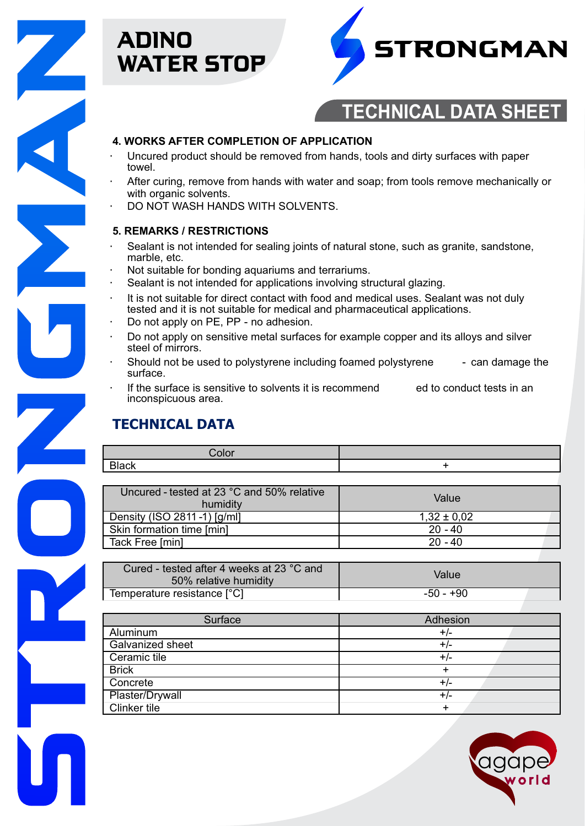

# ADINO WATER STOP



# **TECHNICAL DATA SHEET**

#### **4. WORKS AFTER COMPLETION OF APPLICATION**

- Uncured product should be removed from hands, tools and dirty surfaces with paper towel.
- After curing, remove from hands with water and soap; from tools remove mechanically or with organic solvents.
- DO NOT WASH HANDS WITH SOLVENTS.

#### **5. REMARKS / RESTRICTIONS**

- Sealant is not intended for sealing joints of natural stone, such as granite, sandstone, marble, etc.
- Not suitable for bonding aquariums and terrariums.
- Sealant is not intended for applications involving structural glazing.
- It is not suitable for direct contact with food and medical uses. Sealant was not duly tested and it is not suitable for medical and pharmaceutical applications.
- Do not apply on PE, PP no adhesion.
- Do not apply on sensitive metal surfaces for example copper and its alloys and silver steel of mirrors.
- Should not be used to polystyrene including foamed polystyrene can damage the surface.
- If the surface is sensitive to solvents it is recommend ed to conduct tests in an inconspicuous area.

# **TECHNICAL DATA**

| ור |  |
|----|--|
|    |  |

| Uncured - tested at 23 °C and 50% relative<br>humidity | Value           |
|--------------------------------------------------------|-----------------|
| Density (ISO 2811-1) [g/ml]                            | $1,32 \pm 0.02$ |
| Skin formation time [min]                              | $20 - 40$       |
| Tack Free [min]                                        | $20 - 40$       |

| Cured - tested after 4 weeks at 23 °C and<br>50% relative humidity | Value     |
|--------------------------------------------------------------------|-----------|
| Temperature resistance [°C]                                        | -50 - +90 |

| Surface          | Adhesion |
|------------------|----------|
| Aluminum         | +/-      |
| Galvanized sheet | $+/-$    |
| Ceramic tile     | +/-      |
| <b>Brick</b>     |          |
| Concrete         | $+/-$    |
| Plaster/Drywall  | $+/-$    |
| Clinker tile     |          |